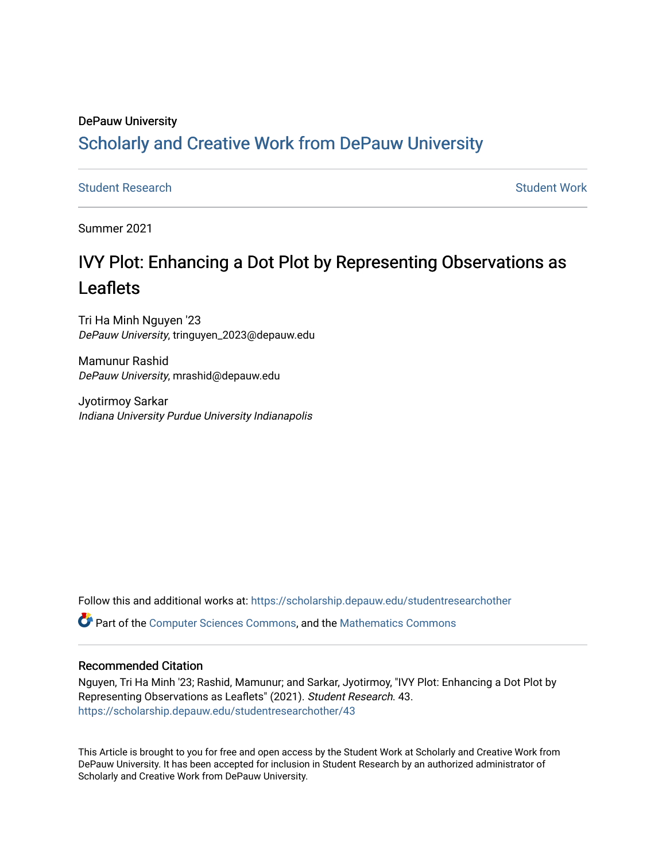## DePauw University Scholarly and [Creative Work from DePauw Univ](https://scholarship.depauw.edu/)ersity

**[Student Research](https://scholarship.depauw.edu/studentresearchother) [Student Work](https://scholarship.depauw.edu/studentwork) Student Work Student Work** 

Summer 2021

# IVY Plot: Enhancing a Dot Plot by Representing Observations as Leaflets

Tri Ha Minh Nguyen '23 DePauw University, tringuyen\_2023@depauw.edu

Mamunur Rashid DePauw University, mrashid@depauw.edu

Jyotirmoy Sarkar Indiana University Purdue University Indianapolis

Follow this and additional works at: [https://scholarship.depauw.edu/studentresearchother](https://scholarship.depauw.edu/studentresearchother?utm_source=scholarship.depauw.edu%2Fstudentresearchother%2F43&utm_medium=PDF&utm_campaign=PDFCoverPages)

Part of the [Computer Sciences Commons](https://network.bepress.com/hgg/discipline/142?utm_source=scholarship.depauw.edu%2Fstudentresearchother%2F43&utm_medium=PDF&utm_campaign=PDFCoverPages), and the [Mathematics Commons](https://network.bepress.com/hgg/discipline/174?utm_source=scholarship.depauw.edu%2Fstudentresearchother%2F43&utm_medium=PDF&utm_campaign=PDFCoverPages) 

## Recommended Citation

Nguyen, Tri Ha Minh '23; Rashid, Mamunur; and Sarkar, Jyotirmoy, "IVY Plot: Enhancing a Dot Plot by Representing Observations as Leaflets" (2021). Student Research. 43. [https://scholarship.depauw.edu/studentresearchother/43](https://scholarship.depauw.edu/studentresearchother/43?utm_source=scholarship.depauw.edu%2Fstudentresearchother%2F43&utm_medium=PDF&utm_campaign=PDFCoverPages) 

This Article is brought to you for free and open access by the Student Work at Scholarly and Creative Work from DePauw University. It has been accepted for inclusion in Student Research by an authorized administrator of Scholarly and Creative Work from DePauw University.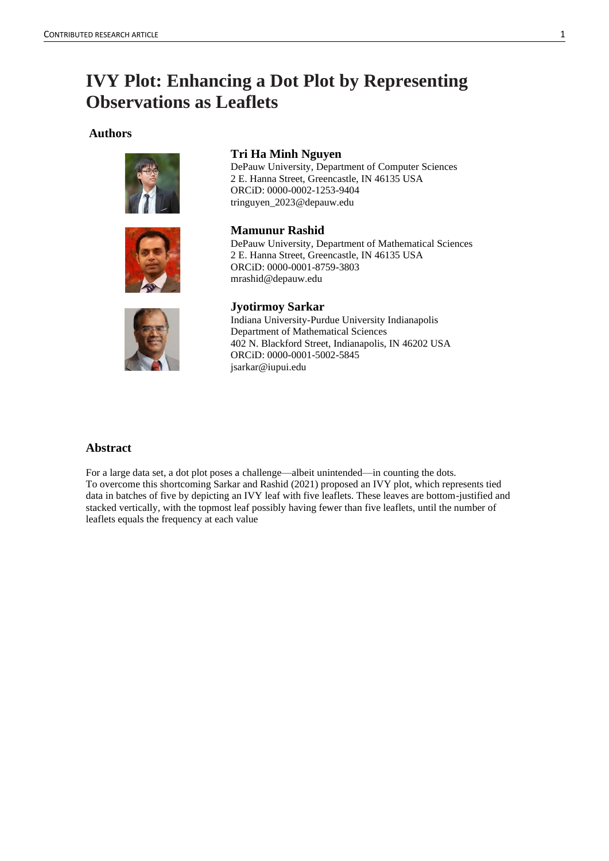## **IVY Plot: Enhancing a Dot Plot by Representing Observations as Leaflets**

### **Authors**





### **Tri Ha Minh Nguyen**

DePauw University, Department of Computer Sciences 2 E. Hanna Street, Greencastle, IN 46135 USA ORCiD: 0000-0002-1253-9404 tringuyen\_2023@depauw.edu

**Mamunur Rashid** DePauw University, Department of Mathematical Sciences 2 E. Hanna Street, Greencastle, IN 46135 USA ORCiD: 0000-0001-8759-3803 mrashid@depauw.edu



## **Jyotirmoy Sarkar**

Indiana University-Purdue University Indianapolis Department of Mathematical Sciences 402 N. Blackford Street, Indianapolis, IN 46202 USA ORCiD: 0000-0001-5002-5845 jsarkar@iupui.edu

## **Abstract**

For a large data set, a dot plot poses a challenge—albeit unintended—in counting the dots. To overcome this shortcoming Sarkar and Rashid (2021) proposed an IVY plot, which represents tied data in batches of five by depicting an IVY leaf with five leaflets. These leaves are bottom-justified and stacked vertically, with the topmost leaf possibly having fewer than five leaflets, until the number of leaflets equals the frequency at each value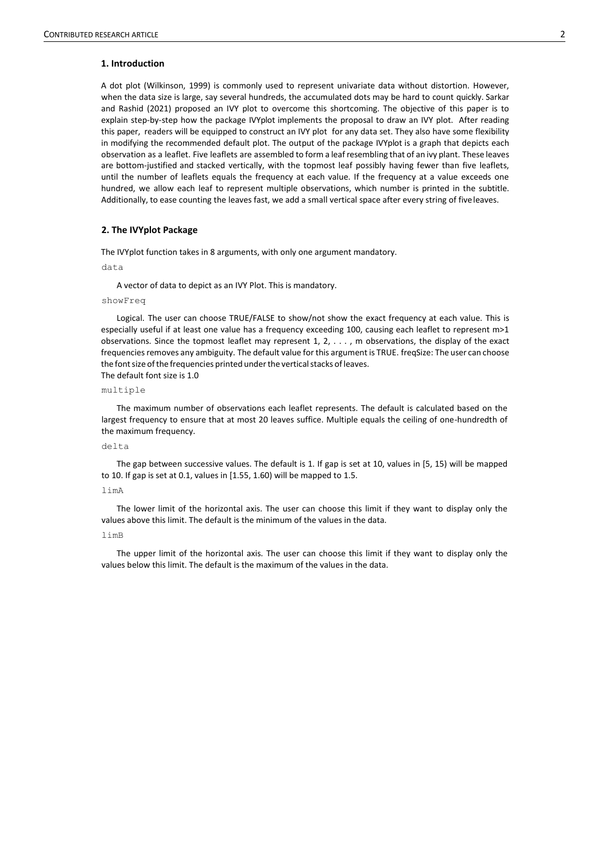#### **1. Introduction**

A dot plot (Wilkinson, 1999) is commonly used to represent univariate data without distortion. However, when the data size is large, say several hundreds, the accumulated dots may be hard to count quickly. Sarkar and Rashid (2021) proposed an IVY plot to overcome this shortcoming. The objective of this paper is to explain step-by-step how the package IVYplot implements the proposal to draw an IVY plot. After reading this paper, readers will be equipped to construct an IVY plot for any data set. They also have some flexibility in modifying the recommended default plot. The output of the package IVYplot is a graph that depicts each observation as a leaflet. Five leaflets are assembled to form a leaf resembling that of an ivy plant. These leaves are bottom-justified and stacked vertically, with the topmost leaf possibly having fewer than five leaflets, until the number of leaflets equals the frequency at each value. If the frequency at a value exceeds one hundred, we allow each leaf to represent multiple observations, which number is printed in the subtitle. Additionally, to ease counting the leaves fast, we add a small vertical space after every string of fiveleaves.

#### **2. The IVYplot Package**

The IVYplot function takes in 8 arguments, with only one argument mandatory.

data

A vector of data to depict as an IVY Plot. This is mandatory.

#### showFreq

Logical. The user can choose TRUE/FALSE to show/not show the exact frequency at each value. This is especially useful if at least one value has a frequency exceeding 100, causing each leaflet to represent m>1 observations. Since the topmost leaflet may represent 1, 2, . . . , m observations, the display of the exact frequencies removes any ambiguity. The default value for this argument is TRUE. freqSize: The user can choose the font size of the frequencies printed under the vertical stacks of leaves. The default font size is 1.0

#### multiple

The maximum number of observations each leaflet represents. The default is calculated based on the largest frequency to ensure that at most 20 leaves suffice. Multiple equals the ceiling of one-hundredth of the maximum frequency.

#### delta

The gap between successive values. The default is 1. If gap is set at 10, values in [5, 15) will be mapped to 10. If gap is set at 0.1, values in [1.55, 1.60) will be mapped to 1.5.

#### limA

The lower limit of the horizontal axis. The user can choose this limit if they want to display only the values above this limit. The default is the minimum of the values in the data.

#### limB

The upper limit of the horizontal axis. The user can choose this limit if they want to display only the values below this limit. The default is the maximum of the values in the data.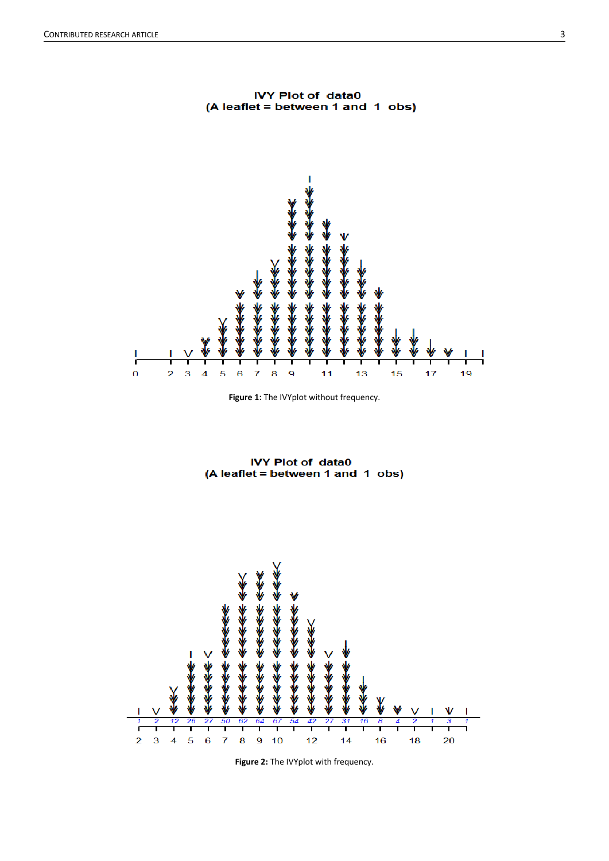

**IVY Plot of data0** (A leaflet = between 1 and 1 obs)



**IVY Plot of data0** (A leaflet = between 1 and 1 obs)



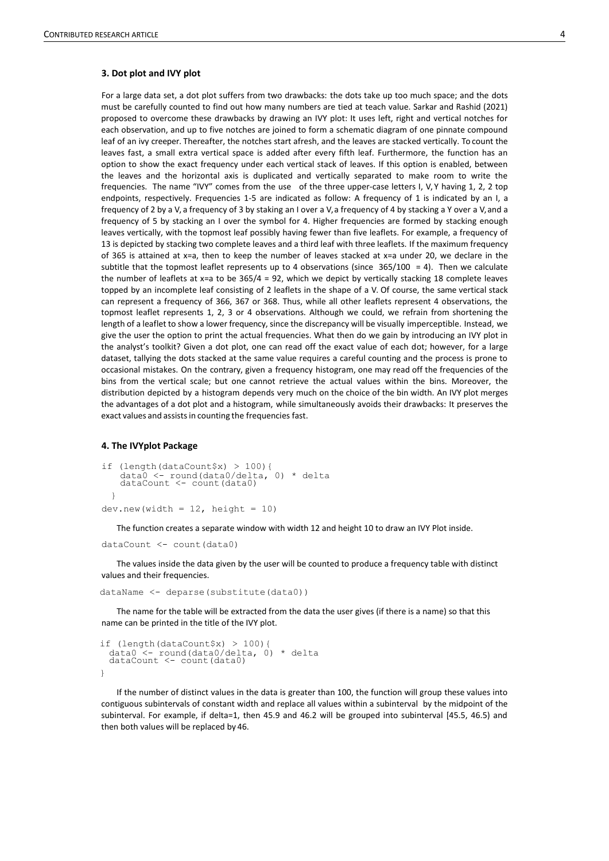#### **3. Dot plot and IVY plot**

For a large data set, a dot plot suffers from two drawbacks: the dots take up too much space; and the dots must be carefully counted to find out how many numbers are tied at teach value. Sarkar and Rashid (2021) proposed to overcome these drawbacks by drawing an IVY plot: It uses left, right and vertical notches for each observation, and up to five notches are joined to form a schematic diagram of one pinnate compound leaf of an ivy creeper. Thereafter, the notches start afresh, and the leaves are stacked vertically. To count the leaves fast, a small extra vertical space is added after every fifth leaf. Furthermore, the function has an option to show the exact frequency under each vertical stack of leaves. If this option is enabled, between the leaves and the horizontal axis is duplicated and vertically separated to make room to write the frequencies. The name "IVY" comes from the use of the three upper-case letters I, V, Y having 1, 2, 2 top endpoints, respectively. Frequencies 1-5 are indicated as follow: A frequency of 1 is indicated by an I, a frequency of 2 by a V, a frequency of 3 by staking an I over a V, a frequency of 4 by stacking a Y over a V, and a frequency of 5 by stacking an I over the symbol for 4. Higher frequencies are formed by stacking enough leaves vertically, with the topmost leaf possibly having fewer than five leaflets. For example, a frequency of 13 is depicted by stacking two complete leaves and a third leaf with three leaflets. If the maximum frequency of 365 is attained at x=a, then to keep the number of leaves stacked at x=a under 20, we declare in the subtitle that the topmost leaflet represents up to 4 observations (since  $365/100 = 4$ ). Then we calculate the number of leaflets at  $x=a$  to be  $365/4 = 92$ , which we depict by vertically stacking 18 complete leaves topped by an incomplete leaf consisting of 2 leaflets in the shape of a V. Of course, the same vertical stack can represent a frequency of 366, 367 or 368. Thus, while all other leaflets represent 4 observations, the topmost leaflet represents 1, 2, 3 or 4 observations. Although we could, we refrain from shortening the length of a leaflet to show a lower frequency, since the discrepancy will be visually imperceptible. Instead, we give the user the option to print the actual frequencies. What then do we gain by introducing an IVY plot in the analyst's toolkit? Given a dot plot, one can read off the exact value of each dot; however, for a large dataset, tallying the dots stacked at the same value requires a careful counting and the process is prone to occasional mistakes. On the contrary, given a frequency histogram, one may read off the frequencies of the bins from the vertical scale; but one cannot retrieve the actual values within the bins. Moreover, the distribution depicted by a histogram depends very much on the choice of the bin width. An IVY plot merges the advantages of a dot plot and a histogram, while simultaneously avoids their drawbacks: It preserves the exact values and assists in counting the frequencies fast.

#### **4. The IVYplot Package**

```
if (length(dataCount$x) > 100){
    data0 <- round(data0/delta, 0) * delta 
dataCount <- count(data0)
  }
dev.new(width = 12, height = 10)
```
The function creates a separate window with width 12 and height 10 to draw an IVY Plot inside.

dataCount <- count(data0)

The values inside the data given by the user will be counted to produce a frequency table with distinct values and their frequencies.

dataName <- deparse(substitute(data0))

The name for the table will be extracted from the data the user gives (if there is a name) so that this name can be printed in the title of the IVY plot.

```
if (length(dataCount$x) > 100){
  data0 <- round(data0/delta, 0) * delta 
dataCount <- count(data0)
```
}

If the number of distinct values in the data is greater than 100, the function will group these values into contiguous subintervals of constant width and replace all values within a subinterval by the midpoint of the subinterval. For example, if delta=1, then 45.9 and 46.2 will be grouped into subinterval [45.5, 46.5) and then both values will be replaced by 46.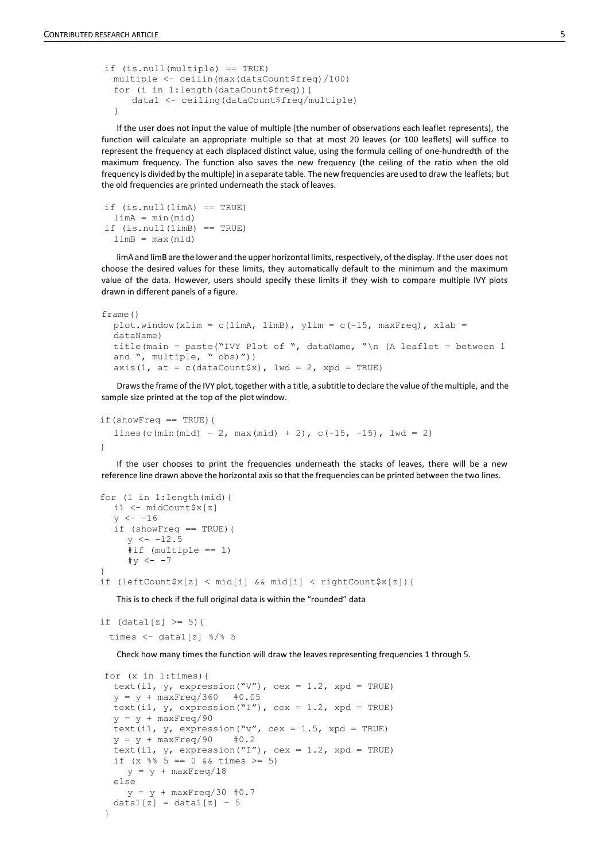```
if (is.null(multiple) == TRUE)
 multiple <- ceilin(max(dataCount$freq)/100)
 for (i in 1:length(dataCount$freq)){
     data1 <- ceiling(dataCount$freq/multiple)
 }
```
If the user does not input the value of multiple (the number of observations each leaflet represents), the function will calculate an appropriate multiple so that at most 20 leaves (or 100 leaflets) will suffice to represent the frequency at each displaced distinct value, using the formula ceiling of one-hundredth of the maximum frequency. The function also saves the new frequency (the ceiling of the ratio when the old frequency is divided by themultiple) in a separate table. The new frequencies are used to draw the leaflets; but the old frequencies are printed underneath the stack ofleaves.

```
if (is.null(limA) == TRUE)
 limA = min(mid)
if (is.null(limB) == TRUE)
 limB = max(mid)
```
limA and limB are the lower and the upper horizontal limits, respectively, of the display. If the user does not choose the desired values for these limits, they automatically default to the minimum and the maximum value of the data. However, users should specify these limits if they wish to compare multiple IVY plots drawn in different panels of a figure.

```
frame()
 plot.window(xlim = c(limA, limB), ylim = c(-15, maxFreq), xlab =
  dataName)
  title(main = paste("IVY Plot of ", dataName, "\n (A leaflet = between 1
  and ", multiple, " obs)"))
  axis(1, at = c(dataCount$x), lwd = 2, xpd = TRUE)
```
Drawsthe frame ofthe IVY plot, together with a title, a subtitle to declare the value of the multiple, and the sample size printed at the top of the plot window.

```
if(showFreq == TRUE){
  lines(c(min(mid) - 2, max(mid) + 2), c(-15, -15), lwd = 2)
}
```
If the user chooses to print the frequencies underneath the stacks of leaves, there will be a new reference line drawn above the horizontal axisso that the frequencies can be printed between the two lines.

```
for (I in 1:length(mid){
  i1 <- midCount$x[z]
  y \le -16if (showFreq == TRUE){
     y \le -12.5#if (multiple == 1)
     #y \leftarrow -7}
if (leftCount$x[z] < mid[i] && mid[i] < rightCount$x[z]){
```
This is to check if the full original data is within the "rounded" data

```
if (data1[z] > = 5) {
```

```
times <- datal[z] \frac{8}{8} 5
```
Check how many times the function will draw the leaves representing frequencies 1 through 5.

```
for (x in 1:times){
 text(i1, y, expression("V"), cex = 1.2, xpd = TRUE)
 y = y + maxFreq/360 #0.05
 text(i1, y, expression("I"), cex = 1.2, xpd = TRUE)
 y = y + maxFreq/90text(i1, y_t, expression("v", cex = 1.5, xpd = TRUE)
 y = y + maxFreq/90 #0.2
 text(i1, y, expression("I"), cex = 1.2, xpd = TRUE)
 if (x \, 8 \, 5 == 0 \, 6 \, 6 \, \text{times} >= 5)y = y + maxFreq/18else
    y = y + maxFreq/30 #0.7data1[z] = data1[z] - 5}
```